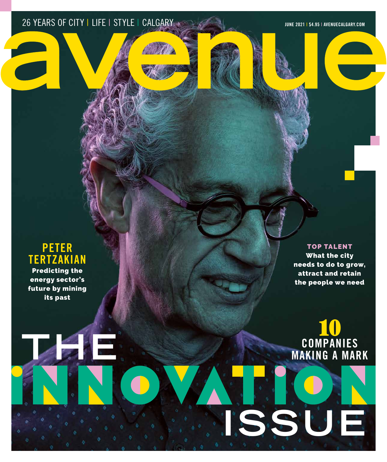26 YEARS OF CITY | LIFE | STYLE | CALGARY **JUNE 2021 | \$4.95 | [AVENUECALGARY.COM](https://www.avenuecalgary.com)**

**COLLEGE** 

## **PETER TERTZAKIAN** Predicting the

energy sector's future by mining its past

**THE**

## TOP TALENT What the city needs to do to grow, attract and retain the people we need

10

**COMPANIES** 

**MAKING A MARK**

**ISSUE**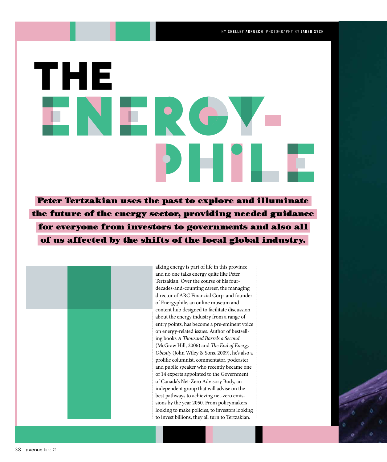BY **SHELLEY ARNUSCH** PHOTOGRAPHY BY **JARED SYCH**

## THE NER. P r.

Peter Tertzakian uses the past to explore and illuminate the future of the energy sector, providing needed guidance for everyone from investors to governments and also all of us affected by the shifts of the local global industry.

> alking energy is part of life in this province, and no one talks energy quite like Peter Tertzakian. Over the course of his fourdecades-and-counting career, the managing director of ARC Financial Corp. and founder of Energyphile, an online museum and content hub designed to facilitate discussion about the energy industry from a range of entry points, has become a pre-eminent voice on energy-related issues. Author of bestselling books *A Thousand Barrels a Second* (McGraw Hill, 2006) and *The End of Energy Obesity* (John Wiley & Sons, 2009), he's also a prolific columnist, commentator, podcaster and public speaker who recently became one of 14 experts appointed to the Government of Canada's Net-Zero Advisory Body, an independent group that will advise on the best pathways to achieving net-zero emissions by the year 2050. From policymakers looking to make policies, to investors looking to invest billions, they all turn to Tertzakian.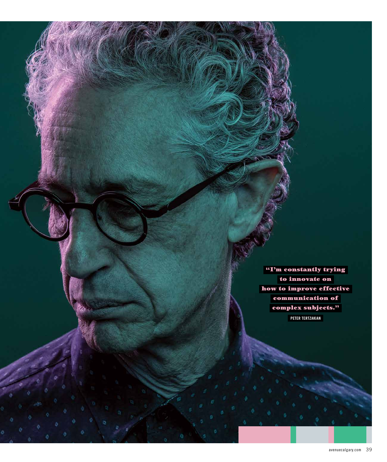"I'm constantly trying to innovate on how to improve effective communication of complex subjects." **PETER TERTZAKIAN**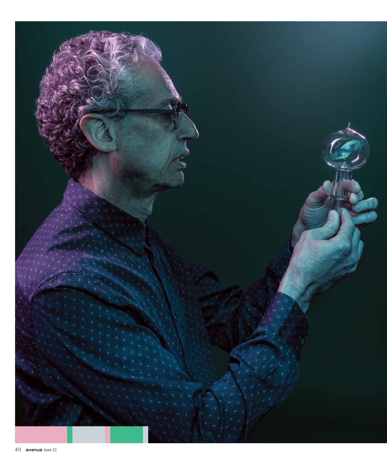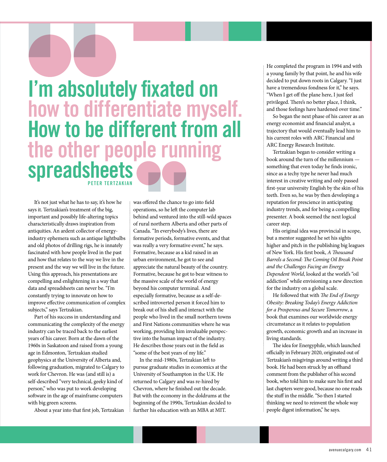**I'm absolutely fixated on how to differentiate myself. How to be different from all the other people running spreadsheets . PETER TERTZAKIAN**

It's not just what he has to say, it's how he says it. Tertzakian's treatment of the big, important and possibly life-altering topics characteristically draws inspiration from antiquities. An ardent collector of energyindustry ephemera such as antique lightbulbs and old photos of drilling rigs, he is innately fascinated with how people lived in the past and how that relates to the way we live in the present and the way we will live in the future. Using this approach, his presentations are compelling and enlightening in a way that data and spreadsheets can never be. "I'm constantly trying to innovate on how to improve effective communication of complex subjects," says Tertzakian.

Part of his success in understanding and communicating the complexity of the energy industry can be traced back to the earliest years of his career. Born at the dawn of the 1960s in Saskatoon and raised from a young age in Edmonton, Tertzakian studied geophysics at the University of Alberta and, following graduation, migrated to Calgary to work for Chevron. He was (and still is) a self-described "very technical, geeky kind of person," who was put to work developing software in the age of mainframe computers with big green screens.

About a year into that first job, Tertzakian

was offered the chance to go into field operations, so he left the computer lab behind and ventured into the still-wild spaces of rural northern Alberta and other parts of Canada. "In everybody's lives, there are formative periods, formative events, and that was really a very formative event," he says. Formative, because as a kid raised in an urban environment, he got to see and appreciate the natural beauty of the country. Formative, because he got to bear witness to the massive scale of the world of energy beyond his computer terminal. And especially formative, because as a self-described introverted person it forced him to break out of his shell and interact with the people who lived in the small northern towns and First Nations communities where he was working, providing him invaluable perspective into the human impact of the industry. He describes those years out in the field as "some of the best years of my life."

In the mid-1980s, Tertzakian left to pursue graduate studies in economics at the University of Southampton in the U.K. He returned to Calgary and was re-hired by Chevron, where he finished out the decade. But with the economy in the doldrums at the beginning of the 1990s, Tertzakian decided to further his education with an MBA at MIT.

He completed the program in 1994 and with a young family by that point, he and his wife decided to put down roots in Calgary. "I just have a tremendous fondness for it," he says. "When I get off the plane here, I just feel privileged. There's no better place, I think, and those feelings have hardened over time."

So began the next phase of his career as an energy economist and financial analyst, a trajectory that would eventually lead him to his current roles with ARC Financial and ARC Energy Research Institute.

Tertzakian began to consider writing a book around the turn of the millennium something that even today he finds ironic, since as a techy type he never had much interest in creative writing and only passed first-year university English by the skin of his teeth. Even so, he was by then developing a reputation for prescience in anticipating industry trends, and for being a compelling presenter. A book seemed the next logical career step.

His original idea was provincial in scope, but a mentor suggested he set his sights higher and pitch in the publishing big leagues of New York. His first book, *A Thousand Barrels a Second: The Coming Oil Break Point and the Challenges Facing an Energy Dependent World*, looked at the world's "oil addiction" while envisioning a new direction for the industry on a global scale.

He followed that with *The End of Energy Obesity: Breaking Today's Energy Addiction for a Prosperous and Secure Tomorrow*, a book that examines our worldwide energy circumstance as it relates to population growth, economic growth and an increase in living standards.

The idea for Energyphile, which launched officially in February 2020, originated out of Tertzakian's misgivings around writing a third book. He had been struck by an offhand comment from the publisher of his second book, who told him to make sure his first and last chapters were good, because no one reads the stuff in the middle. "So then I started thinking we need to reinvent the whole way people digest information," he says.